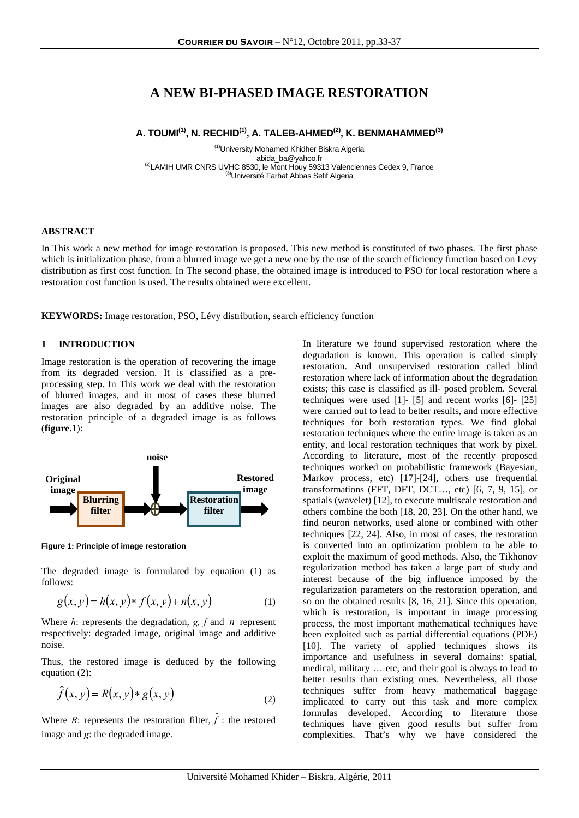# **A NEW BI-PHASED IMAGE RESTORATION**

## **A. TOUMI(1), N. RECHID(1), A. TALEB-AHMED(2), K. BENMAHAMMED(3)**

<sup>(1)</sup>University Mohamed Khidher Biskra Algeria<br>abida ba@yahoo.fr <sup>(2)</sup>LAMIH UMR CNRS UVHC 8530, le Mont Houy 59313 Valenciennes Cedex 9, France (3)Université Farhat Abbas Setif Algeria

## **ABSTRACT**

In This work a new method for image restoration is proposed. This new method is constituted of two phases. The first phase which is initialization phase, from a blurred image we get a new one by the use of the search efficiency function based on Levy distribution as first cost function. In The second phase, the obtained image is introduced to PSO for local restoration where a restoration cost function is used. The results obtained were excellent.

**KEYWORDS:** Image restoration, PSO, Lévy distribution, search efficiency function

## **1 INTRODUCTION**

Image restoration is the operation of recovering the image from its degraded version. It is classified as a preprocessing step. In This work we deal with the restoration of blurred images, and in most of cases these blurred images are also degraded by an additive noise. The restoration principle of a degraded image is as follows (**figure.1**):



**Figure 1: Principle of image restoration** 

The degraded image is formulated by equation (1) as follows:

$$
g(x, y) = h(x, y) * f(x, y) + n(x, y)
$$
 (1)

Where *h*: represents the degradation, *g, f* and *n* represent respectively: degraded image, original image and additive noise.

Thus, the restored image is deduced by the following equation (2):

$$
\hat{f}(x, y) = R(x, y) * g(x, y)
$$
\n<sup>(2)</sup>

Where *R*: represents the restoration filter,  $\hat{f}$  : the restored image and *g*: the degraded image.

In literature we found supervised restoration where the degradation is known. This operation is called simply restoration. And unsupervised restoration called blind restoration where lack of information about the degradation exists; this case is classified as ill- posed problem. Several techniques were used [1]- [5] and recent works [6]- [25] were carried out to lead to better results, and more effective techniques for both restoration types. We find global restoration techniques where the entire image is taken as an entity, and local restoration techniques that work by pixel. According to literature, most of the recently proposed techniques worked on probabilistic framework (Bayesian, Markov process, etc) [17]-[24], others use frequential transformations (FFT, DFT, DCT…, etc) [6, 7, 9, 15], or spatials (wavelet) [12], to execute multiscale restoration and others combine the both [18, 20, 23]. On the other hand, we find neuron networks, used alone or combined with other techniques [22, 24]. Also, in most of cases, the restoration is converted into an optimization problem to be able to exploit the maximum of good methods. Also, the Tikhonov regularization method has taken a large part of study and interest because of the big influence imposed by the regularization parameters on the restoration operation, and so on the obtained results [8, 16, 21]. Since this operation, which is restoration, is important in image processing process, the most important mathematical techniques have been exploited such as partial differential equations (PDE) [10]. The variety of applied techniques shows its importance and usefulness in several domains: spatial, medical, military … etc, and their goal is always to lead to better results than existing ones. Nevertheless, all those techniques suffer from heavy mathematical baggage implicated to carry out this task and more complex formulas developed. According to literature those techniques have given good results but suffer from complexities. That's why we have considered the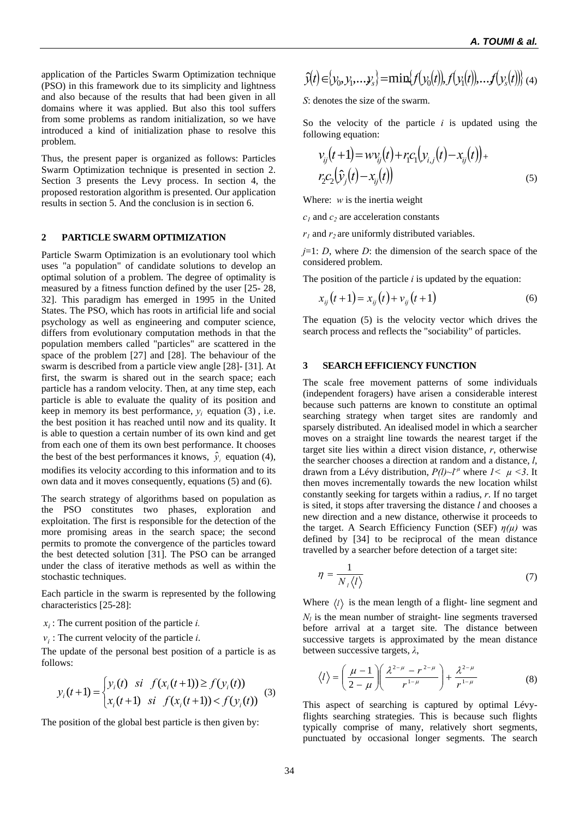application of the Particles Swarm Optimization technique (PSO) in this framework due to its simplicity and lightness and also because of the results that had been given in all domains where it was applied. But also this tool suffers from some problems as random initialization, so we have introduced a kind of initialization phase to resolve this problem.

Thus, the present paper is organized as follows: Particles Swarm Optimization technique is presented in section 2. Section 3 presents the Levy process. In section 4, the proposed restoration algorithm is presented. Our application results in section 5. And the conclusion is in section 6.

## **2 PARTICLE SWARM OPTIMIZATION**

Particle Swarm Optimization is an evolutionary tool which uses "a population" of candidate solutions to develop an optimal solution of a problem. The degree of optimality is measured by a fitness function defined by the user [25- 28, 32]. This paradigm has emerged in 1995 in the United States. The PSO, which has roots in artificial life and social psychology as well as engineering and computer science, differs from evolutionary computation methods in that the population members called "particles" are scattered in the space of the problem [27] and [28]. The behaviour of the swarm is described from a particle view angle [28]- [31]. At first, the swarm is shared out in the search space; each particle has a random velocity. Then, at any time step, each particle is able to evaluate the quality of its position and keep in memory its best performance,  $y_i$  equation (3), i.e. the best position it has reached until now and its quality. It is able to question a certain number of its own kind and get from each one of them its own best performance. It chooses the best of the best performances it knows,  $\hat{y}$  equation (4), modifies its velocity according to this information and to its own data and it moves consequently, equations (5) and (6).

The search strategy of algorithms based on population as the PSO constitutes two phases, exploration and exploitation. The first is responsible for the detection of the more promising areas in the search space; the second permits to promote the convergence of the particles toward the best detected solution [31]. The PSO can be arranged under the class of iterative methods as well as within the stochastic techniques.

Each particle in the swarm is represented by the following characteristics [25-28]:

 $x_i$ : The current position of the particle *i*.

 $v_i$ : The current velocity of the particle *i*.

The update of the personal best position of a particle is as follows:

$$
y_i(t+1) = \begin{cases} y_i(t) & \text{si } f(x_i(t+1)) \ge f(y_i(t)) \\ x_i(t+1) & \text{si } f(x_i(t+1)) < f(y_i(t)) \end{cases} (3)
$$

The position of the global best particle is then given by:

$$
\hat{y}(t) \in \{y_0, y_1, \ldots, y_s\} = \min\{f(y_0(t)), f(y_1(t)), \ldots, f(y_s(t))\} \tag{4}
$$

*S*: denotes the size of the swarm.

So the velocity of the particle  $i$  is updated using the following equation:

$$
v_{ij}(t+1) = w v_{ij}(t) + r_i c_1 (y_{i,j}(t) - x_{ij}(t)) +r_2 c_2 (\hat{y}_j(t) - x_{ij}(t))
$$
\n(5)

Where: *w* is the inertia weight

 $c_1$  and  $c_2$  are acceleration constants

 $r_1$  and  $r_2$  are uniformly distributed variables.

*j*=1: *D*, where *D*: the dimension of the search space of the considered problem.

The position of the particle *i* is updated by the equation:

$$
x_{ij}(t+1) = x_{ij}(t) + v_{ij}(t+1)
$$
 (6)

The equation (5) is the velocity vector which drives the search process and reflects the "sociability" of particles.

## **3 SEARCH EFFICIENCY FUNCTION**

The scale free movement patterns of some individuals (independent foragers) have arisen a considerable interest because such patterns are known to constitute an optimal searching strategy when target sites are randomly and sparsely distributed. An idealised model in which a searcher moves on a straight line towards the nearest target if the target site lies within a direct vision distance, *r*, otherwise the searcher chooses a direction at random and a distance, *l*, drawn from a Lévy distribution,  $P(l) \sim l^{\mu}$  where  $l < \mu < 3$ . It then moves incrementally towards the new location whilst constantly seeking for targets within a radius, *r*. If no target is sited, it stops after traversing the distance *l* and chooses a new direction and a new distance, otherwise it proceeds to the target. A Search Efficiency Function (SEF) *η(µ)* was defined by [34] to be reciprocal of the mean distance travelled by a searcher before detection of a target site:

$$
\eta = \frac{1}{N_{\iota} \langle l \rangle} \tag{7}
$$

Where  $\langle l \rangle$  is the mean length of a flight- line segment and  $N_l$  is the mean number of straight- line segments traversed before arrival at a target site. The distance between successive targets is approximated by the mean distance between successive targets, *λ*,

$$
\langle l \rangle = \left(\frac{\mu - 1}{2 - \mu}\right) \left(\frac{\lambda^{2 - \mu} - r^{2 - \mu}}{r^{1 - \mu}}\right) + \frac{\lambda^{2 - \mu}}{r^{1 - \mu}}
$$
(8)

This aspect of searching is captured by optimal Lévyflights searching strategies. This is because such flights typically comprise of many, relatively short segments, punctuated by occasional longer segments. The search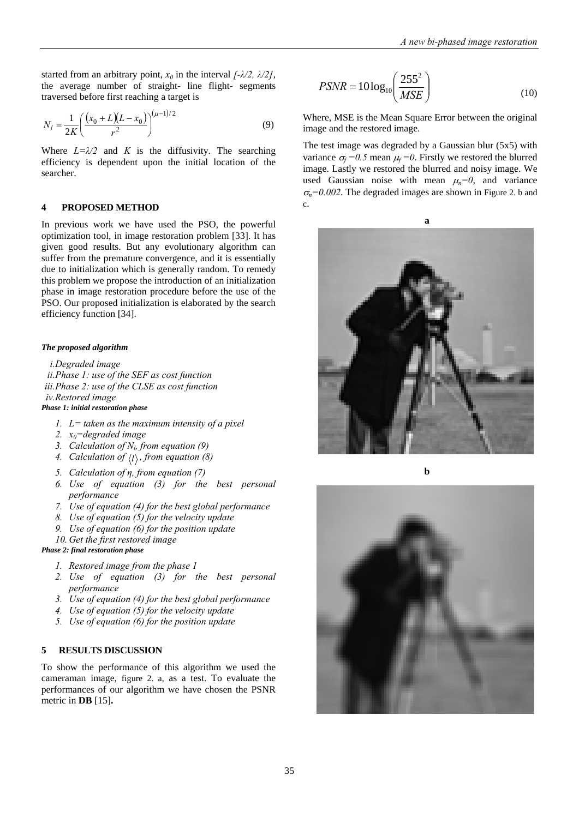started from an arbitrary point,  $x_0$  in the interval  $\int$ - $\lambda$ /2,  $\lambda$ /2], the average number of straight- line flight- segments traversed before first reaching a target is

$$
N_l = \frac{1}{2K} \left( \frac{(x_0 + L)(L - x_0)}{r^2} \right)^{(\mu - 1)/2}
$$
 (9)

Where  $L=\lambda/2$  and *K* is the diffusivity. The searching efficiency is dependent upon the initial location of the searcher.

## **4 PROPOSED METHOD**

In previous work we have used the PSO, the powerful optimization tool, in image restoration problem [33]. It has given good results. But any evolutionary algorithm can suffer from the premature convergence, and it is essentially due to initialization which is generally random. To remedy this problem we propose the introduction of an initialization phase in image restoration procedure before the use of the PSO. Our proposed initialization is elaborated by the search efficiency function [34].

#### *The proposed algorithm*

*i.Degraded image ii.Phase 1: use of the SEF as cost function iii.Phase 2: use of the CLSE as cost function iv.Restored image Phase 1: initial restoration phase* 

- *1. L= taken as the maximum intensity of a pixel*
- *2. x0=degraded image*
- 3. *Calculation of N<sub>b</sub>* from equation (9)
- *4. Calculation of*  $\langle l \rangle$ *, from equation (8)*
- *5. Calculation of η, from equation (7)*
- *6. Use of equation (3) for the best personal performance*
- *7. Use of equation (4) for the best global performance*
- *8. Use of equation (5) for the velocity update*
- *9. Use of equation (6) for the position update*
- *10. Get the first restored image*

*Phase 2: final restoration phase* 

- *1. Restored image from the phase 1*
- *2. Use of equation (3) for the best personal performance*
- *3. Use of equation (4) for the best global performance*
- *4. Use of equation (5) for the velocity update*
- *5. Use of equation (6) for the position update*

## **5 RESULTS DISCUSSION**

To show the performance of this algorithm we used the cameraman image, figure 2. a, as a test. To evaluate the performances of our algorithm we have chosen the PSNR metric in **DB** [15]**.**

$$
PSNR = 10\log_{10}\left(\frac{255^2}{MSE}\right) \tag{10}
$$

Where, MSE is the Mean Square Error between the original image and the restored image.

The test image was degraded by a Gaussian blur (5x5) with variance  $\sigma_f = 0.5$  mean  $\mu_f = 0$ . Firstly we restored the blurred image. Lastly we restored the blurred and noisy image. We used Gaussian noise with mean  $\mu_n=0$ , and variance  $\sigma_n$ =0.002. The degraded images are shown in Figure 2. b and c.





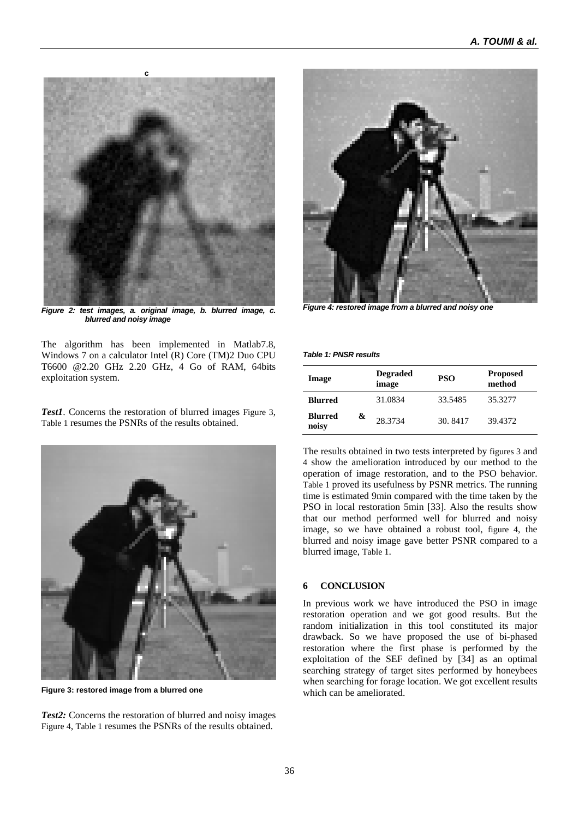

*Figure 2: test images, a. original image, b. blurred image, c. blurred and noisy image* 

The algorithm has been implemented in Matlab7.8, Windows 7 on a calculator Intel (R) Core (TM)2 Duo CPU T6600 @2.20 GHz 2.20 GHz, 4 Go of RAM, 64bits exploitation system.

*Test1*. Concerns the restoration of blurred images Figure 3, Table 1 resumes the PSNRs of the results obtained.



**Figure 3: restored image from a blurred one** 

*Test2:* Concerns the restoration of blurred and noisy images Figure 4, Table 1 resumes the PSNRs of the results obtained.



*Figure 4: restored image from a blurred and noisy one* 

*Table 1: PNSR results* 

| Image                   |   | <b>Degraded</b><br>image | <b>PSO</b> | <b>Proposed</b><br>method |
|-------------------------|---|--------------------------|------------|---------------------------|
| Blurred                 |   | 31.0834                  | 33.5485    | 35.3277                   |
| <b>Blurred</b><br>noisy | & | 28.3734                  | 30.8417    | 39.4372                   |

The results obtained in two tests interpreted by figures 3 and 4 show the amelioration introduced by our method to the operation of image restoration, and to the PSO behavior. Table 1 proved its usefulness by PSNR metrics. The running time is estimated 9min compared with the time taken by the PSO in local restoration 5min [33]. Also the results show that our method performed well for blurred and noisy image, so we have obtained a robust tool, figure 4, the blurred and noisy image gave better PSNR compared to a blurred image, Table 1.

## **6 CONCLUSION**

In previous work we have introduced the PSO in image restoration operation and we got good results. But the random initialization in this tool constituted its major drawback. So we have proposed the use of bi-phased restoration where the first phase is performed by the exploitation of the SEF defined by [34] as an optimal searching strategy of target sites performed by honeybees when searching for forage location. We got excellent results which can be ameliorated.